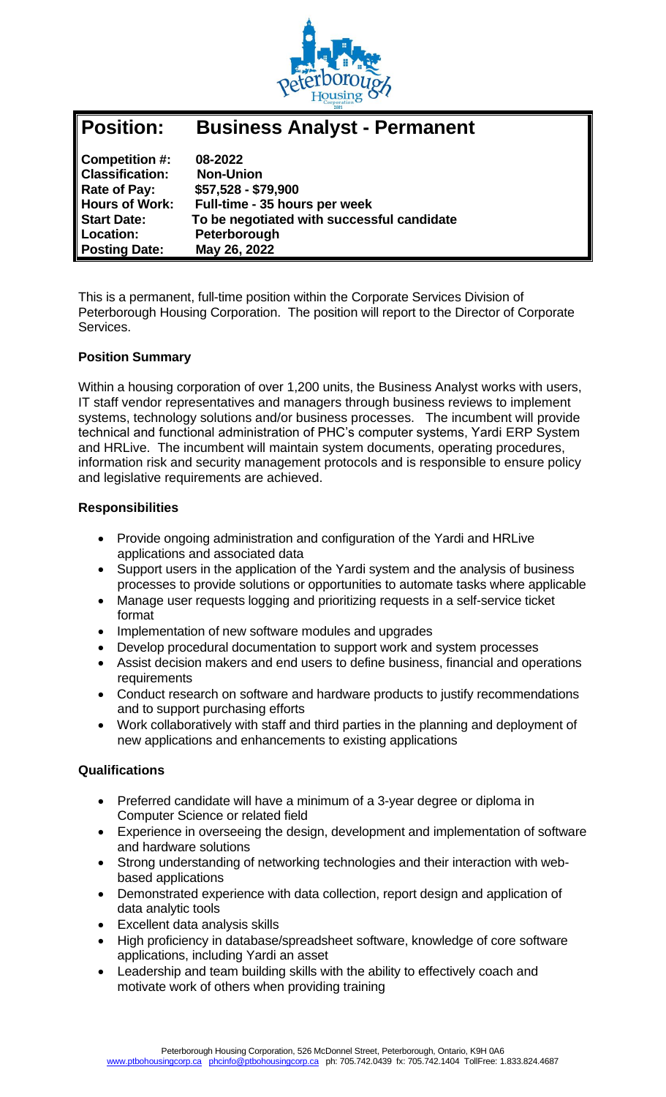

| Position:              | <b>Business Analyst - Permanent</b>        |
|------------------------|--------------------------------------------|
| Competition #:         | 08-2022                                    |
| <b>Classification:</b> | <b>Non-Union</b>                           |
| Rate of Pay:           | \$57,528 - \$79,900                        |
| <b>Hours of Work:</b>  | Full-time - 35 hours per week              |
| <b>Start Date:</b>     | To be negotiated with successful candidate |
| Location:              | Peterborough                               |
| <b>Posting Date:</b>   | May 26, 2022                               |

This is a permanent, full-time position within the Corporate Services Division of Peterborough Housing Corporation. The position will report to the Director of Corporate Services.

# **Position Summary**

Within a housing corporation of over 1,200 units, the Business Analyst works with users, IT staff vendor representatives and managers through business reviews to implement systems, technology solutions and/or business processes. The incumbent will provide technical and functional administration of PHC's computer systems, Yardi ERP System and HRLive. The incumbent will maintain system documents, operating procedures, information risk and security management protocols and is responsible to ensure policy and legislative requirements are achieved.

### **Responsibilities**

- Provide ongoing administration and configuration of the Yardi and HRLive applications and associated data
- Support users in the application of the Yardi system and the analysis of business processes to provide solutions or opportunities to automate tasks where applicable
- Manage user requests logging and prioritizing requests in a self-service ticket format
- Implementation of new software modules and upgrades
- Develop procedural documentation to support work and system processes
- Assist decision makers and end users to define business, financial and operations requirements
- Conduct research on software and hardware products to justify recommendations and to support purchasing efforts
- Work collaboratively with staff and third parties in the planning and deployment of new applications and enhancements to existing applications

### **Qualifications**

- Preferred candidate will have a minimum of a 3-year degree or diploma in Computer Science or related field
- Experience in overseeing the design, development and implementation of software and hardware solutions
- Strong understanding of networking technologies and their interaction with webbased applications
- Demonstrated experience with data collection, report design and application of data analytic tools
- Excellent data analysis skills
- High proficiency in database/spreadsheet software, knowledge of core software applications, including Yardi an asset
- Leadership and team building skills with the ability to effectively coach and motivate work of others when providing training